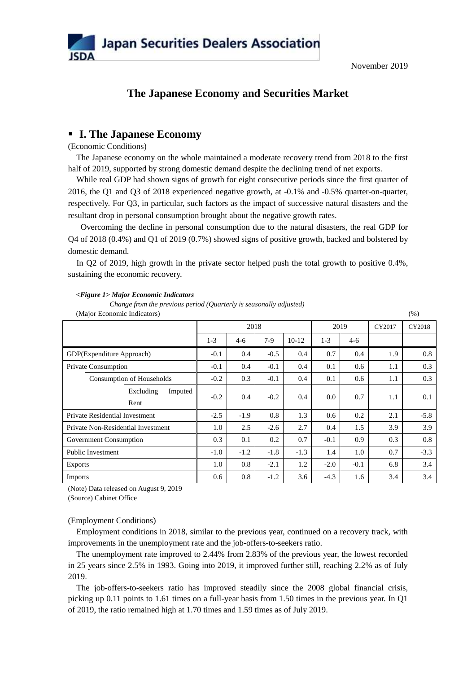

# **The Japanese Economy and Securities Market**

# **I. The Japanese Economy**

(Economic Conditions)

The Japanese economy on the whole maintained a moderate recovery trend from 2018 to the first half of 2019, supported by strong domestic demand despite the declining trend of net exports.

While real GDP had shown signs of growth for eight consecutive periods since the first quarter of 2016, the Q1 and Q3 of 2018 experienced negative growth, at -0.1% and -0.5% quarter-on-quarter, respectively. For Q3, in particular, such factors as the impact of successive natural disasters and the resultant drop in personal consumption brought about the negative growth rates.

Overcoming the decline in personal consumption due to the natural disasters, the real GDP for Q4 of 2018 (0.4%) and Q1 of 2019 (0.7%) showed signs of positive growth, backed and bolstered by domestic demand.

In Q2 of 2019, high growth in the private sector helped push the total growth to positive 0.4%, sustaining the economic recovery.

| (Major Economic Indicators)           |  |                              |        |        |        |         | (% )   |        |        |     |
|---------------------------------------|--|------------------------------|--------|--------|--------|---------|--------|--------|--------|-----|
|                                       |  |                              | 2018   |        |        | 2019    |        | CY2017 | CY2018 |     |
|                                       |  |                              | $1-3$  | $4-6$  | 7-9    | $10-12$ | $1-3$  | $4-6$  |        |     |
| GDP(Expenditure Approach)             |  | $-0.1$                       | 0.4    | $-0.5$ | 0.4    | 0.7     | 0.4    | 1.9    | 0.8    |     |
| Private Consumption                   |  | $-0.1$                       | 0.4    | $-0.1$ | 0.4    | 0.1     | 0.6    | 1.1    | 0.3    |     |
|                                       |  | Consumption of Households    | $-0.2$ | 0.3    | $-0.1$ | 0.4     | 0.1    | 0.6    | 1.1    | 0.3 |
|                                       |  | Excluding<br>Imputed<br>Rent | $-0.2$ | 0.4    | $-0.2$ | 0.4     | 0.0    | 0.7    | 1.1    | 0.1 |
| <b>Private Residential Investment</b> |  | $-2.5$                       | $-1.9$ | 0.8    | 1.3    | 0.6     | 0.2    | 2.1    | $-5.8$ |     |
| Private Non-Residential Investment    |  | 1.0                          | 2.5    | $-2.6$ | 2.7    | 0.4     | 1.5    | 3.9    | 3.9    |     |
| Government Consumption                |  | 0.3                          | 0.1    | 0.2    | 0.7    | $-0.1$  | 0.9    | 0.3    | 0.8    |     |
| <b>Public Investment</b>              |  | $-1.0$                       | $-1.2$ | $-1.8$ | $-1.3$ | 1.4     | 1.0    | 0.7    | $-3.3$ |     |
| <b>Exports</b>                        |  | 1.0                          | 0.8    | $-2.1$ | 1.2    | $-2.0$  | $-0.1$ | 6.8    | 3.4    |     |
| <b>Imports</b>                        |  |                              | 0.6    | 0.8    | $-1.2$ | 3.6     | $-4.3$ | 1.6    | 3.4    | 3.4 |

#### *<Figure 1> Major Economic Indicators*

*Change from the previous period (Quarterly is seasonally adjusted)*

(Note) Data released on August 9, 2019

(Source) Cabinet Office

## (Employment Conditions)

Employment conditions in 2018, similar to the previous year, continued on a recovery track, with improvements in the unemployment rate and the job-offers-to-seekers ratio.

The unemployment rate improved to 2.44% from 2.83% of the previous year, the lowest recorded in 25 years since 2.5% in 1993. Going into 2019, it improved further still, reaching 2.2% as of July 2019.

The job-offers-to-seekers ratio has improved steadily since the 2008 global financial crisis, picking up 0.11 points to 1.61 times on a full-year basis from 1.50 times in the previous year. In Q1 of 2019, the ratio remained high at 1.70 times and 1.59 times as of July 2019.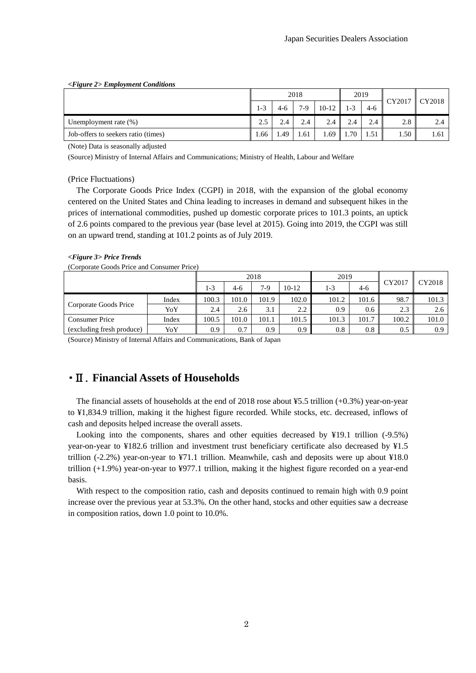| <figure 2=""> Employment Conditions</figure> |       |      |       |         |         |      |        |        |
|----------------------------------------------|-------|------|-------|---------|---------|------|--------|--------|
|                                              |       |      | 2018  |         | 2019    |      |        |        |
|                                              | $1-3$ | 4-6  | $7-9$ | $10-12$ | $1 - 3$ | 4-6  | CY2017 | CY2018 |
| Unemployment rate $(\%)$                     | 2.5   | 2.4  | 2.4   | 2.4     | 2.4     | 2.4  | 2.8    |        |
| Job-offers to seekers ratio (times)          | 1.66  | 49.ء | 1.61  | 1.69    | 1.70    | 1.51 | 1.50   | 1.61   |

(Note) Data is seasonally adjusted

(Source) Ministry of Internal Affairs and Communications; Ministry of Health, Labour and Welfare

(Price Fluctuations)

The Corporate Goods Price Index (CGPI) in 2018, with the expansion of the global economy centered on the United States and China leading to increases in demand and subsequent hikes in the prices of international commodities, pushed up domestic corporate prices to 101.3 points, an uptick of 2.6 points compared to the previous year (base level at 2015). Going into 2019, the CGPI was still on an upward trend, standing at 101.2 points as of July 2019.

#### *<Figure 3> Price Trends*

(Corporate Goods Price and Consumer Price)

|                                  |       | 2018  |       |       | 2019             |       |       |        |        |
|----------------------------------|-------|-------|-------|-------|------------------|-------|-------|--------|--------|
|                                  |       | 1-3   | 4-6   | $7-9$ | $10-12$          | 1-3   | $4-6$ | CY2017 | CY2018 |
| Corporate Goods Price            | Index | 100.3 | 101.0 | 101.9 | 102.0            | 101.2 | 101.6 | 98.7   | 101.3  |
|                                  | YoY   | 2.4   | 2.6   | 3.1   | 2.2              | 0.9   | 0.6   | 2.3    | 2.6    |
| <b>Consumer Price</b>            | Index | 100.5 | 101.0 | 101.1 | 101.5            | 101.3 | 101.7 | 100.2  | 101.0  |
| (excluding fresh produce)<br>YoY |       | 0.9   | 0.7   | 0.9   | 0.9 <sub>0</sub> | 0.8   | 0.8   | 0.5    | 0.9    |

(Source) Ministry of Internal Affairs and Communications, Bank of Japan

# ・Ⅱ.**Financial Assets of Households**

The financial assets of households at the end of 2018 rose about  $\frac{15.5 \text{ trillion } (+0.3\%) \text{ year-on-year}}{2018 \text{ too}}$ to ¥1,834.9 trillion, making it the highest figure recorded. While stocks, etc. decreased, inflows of cash and deposits helped increase the overall assets.

Looking into the components, shares and other equities decreased by ¥19.1 trillion (-9.5%) year-on-year to ¥182.6 trillion and investment trust beneficiary certificate also decreased by ¥1.5 trillion (-2.2%) year-on-year to ¥71.1 trillion. Meanwhile, cash and deposits were up about ¥18.0 trillion (+1.9%) year-on-year to ¥977.1 trillion, making it the highest figure recorded on a year-end basis.

With respect to the composition ratio, cash and deposits continued to remain high with 0.9 point increase over the previous year at 53.3%. On the other hand, stocks and other equities saw a decrease in composition ratios, down 1.0 point to 10.0%.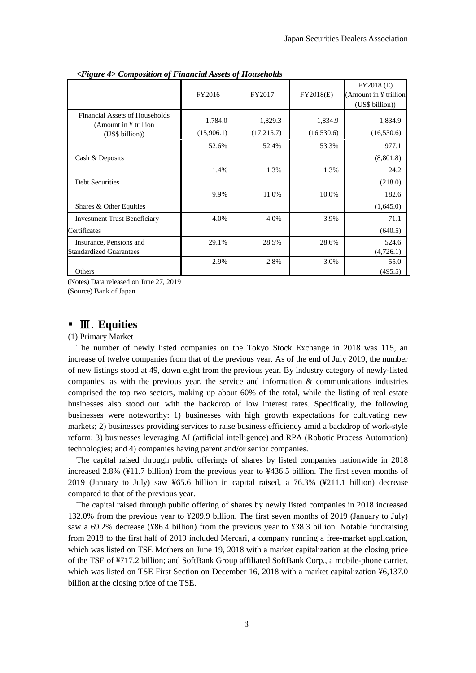|                                                                     | FY2016                | FY2017                | FY2018(E)             | FY2018 (E)<br>(Amount in $\angle$ trillion<br>(US\$ billion)) |
|---------------------------------------------------------------------|-----------------------|-----------------------|-----------------------|---------------------------------------------------------------|
| Financial Assets of Households<br>(Amount in $\frac{1}{2}$ trillion | 1,784.0<br>(15,906.1) | 1,829.3<br>(17,215.7) | 1,834.9<br>(16,530.6) | 1,834.9<br>(16,530.6)                                         |
| (US\$ billion))                                                     |                       |                       |                       |                                                               |
|                                                                     | 52.6%                 | 52.4%                 | 53.3%                 | 977.1                                                         |
| Cash & Deposits                                                     |                       |                       |                       | (8,801.8)                                                     |
|                                                                     | 1.4%                  | 1.3%                  | 1.3%                  | 24.2                                                          |
| <b>Debt Securities</b>                                              |                       |                       |                       | (218.0)                                                       |
|                                                                     | 9.9%                  | 11.0%                 | 10.0%                 | 182.6                                                         |
| Shares & Other Equities                                             |                       |                       |                       | (1,645.0)                                                     |
| <b>Investment Trust Beneficiary</b>                                 | 4.0%                  | 4.0%                  | 3.9%                  | 71.1                                                          |
| Certificates                                                        |                       |                       |                       | (640.5)                                                       |
| Insurance, Pensions and                                             | 29.1%                 | 28.5%                 | 28.6%                 | 524.6                                                         |
| <b>Standardized Guarantees</b>                                      |                       |                       |                       | (4,726.1)                                                     |
|                                                                     | 2.9%                  | 2.8%                  | 3.0%                  | 55.0                                                          |
| Others                                                              |                       |                       |                       | (495.5)                                                       |

*<Figure 4> Composition of Financial Assets of Households*

(Notes) Data released on June 27, 2019

(Source) Bank of Japan

# Ⅲ.**Equities**

(1) Primary Market

The number of newly listed companies on the Tokyo Stock Exchange in 2018 was 115, an increase of twelve companies from that of the previous year. As of the end of July 2019, the number of new listings stood at 49, down eight from the previous year. By industry category of newly-listed companies, as with the previous year, the service and information  $\&$  communications industries comprised the top two sectors, making up about 60% of the total, while the listing of real estate businesses also stood out with the backdrop of low interest rates. Specifically, the following businesses were noteworthy: 1) businesses with high growth expectations for cultivating new markets; 2) businesses providing services to raise business efficiency amid a backdrop of work-style reform; 3) businesses leveraging AI (artificial intelligence) and RPA (Robotic Process Automation) technologies; and 4) companies having parent and/or senior companies.

The capital raised through public offerings of shares by listed companies nationwide in 2018 increased 2.8% (¥11.7 billion) from the previous year to ¥436.5 billion. The first seven months of 2019 (January to July) saw ¥65.6 billion in capital raised, a 76.3% (¥211.1 billion) decrease compared to that of the previous year.

The capital raised through public offering of shares by newly listed companies in 2018 increased 132.0% from the previous year to ¥209.9 billion. The first seven months of 2019 (January to July) saw a 69.2% decrease (¥86.4 billion) from the previous year to ¥38.3 billion. Notable fundraising from 2018 to the first half of 2019 included Mercari, a company running a free-market application, which was listed on TSE Mothers on June 19, 2018 with a market capitalization at the closing price of the TSE of ¥717.2 billion; and SoftBank Group affiliated SoftBank Corp., a mobile-phone carrier, which was listed on TSE First Section on December 16, 2018 with a market capitalization ¥6,137.0 billion at the closing price of the TSE.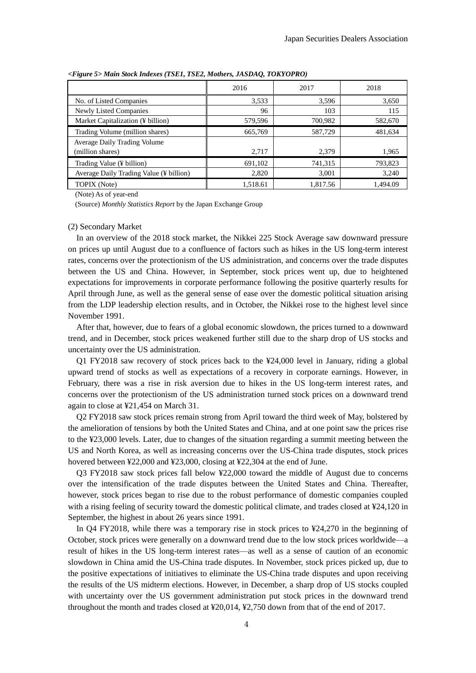|                                                  | 2016     | 2017     | 2018     |
|--------------------------------------------------|----------|----------|----------|
| No. of Listed Companies                          | 3,533    | 3,596    | 3,650    |
| Newly Listed Companies                           | 96       | 103      | 115      |
| Market Capitalization (¥ billion)                | 579,596  | 700,982  | 582,670  |
| Trading Volume (million shares)                  | 665,769  | 587,729  | 481,634  |
| Average Daily Trading Volume<br>(million shares) | 2,717    | 2,379    | 1,965    |
| Trading Value (¥ billion)                        | 691,102  | 741,315  | 793,823  |
| Average Daily Trading Value (¥ billion)          | 2,820    | 3,001    | 3,240    |
| TOPIX (Note)                                     | 1,518.61 | 1,817.56 | 1.494.09 |

*<Figure 5> Main Stock Indexes (TSE1, TSE2, Mothers, JASDAQ, TOKYOPRO)*

(Note) As of year-end

(Source) *Monthly Statistics Report* by the Japan Exchange Group

#### (2) Secondary Market

In an overview of the 2018 stock market, the Nikkei 225 Stock Average saw downward pressure on prices up until August due to a confluence of factors such as hikes in the US long-term interest rates, concerns over the protectionism of the US administration, and concerns over the trade disputes between the US and China. However, in September, stock prices went up, due to heightened expectations for improvements in corporate performance following the positive quarterly results for April through June, as well as the general sense of ease over the domestic political situation arising from the LDP leadership election results, and in October, the Nikkei rose to the highest level since November 1991.

After that, however, due to fears of a global economic slowdown, the prices turned to a downward trend, and in December, stock prices weakened further still due to the sharp drop of US stocks and uncertainty over the US administration.

Q1 FY2018 saw recovery of stock prices back to the ¥24,000 level in January, riding a global upward trend of stocks as well as expectations of a recovery in corporate earnings. However, in February, there was a rise in risk aversion due to hikes in the US long-term interest rates, and concerns over the protectionism of the US administration turned stock prices on a downward trend again to close at ¥21,454 on March 31.

Q2 FY2018 saw stock prices remain strong from April toward the third week of May, bolstered by the amelioration of tensions by both the United States and China, and at one point saw the prices rise to the ¥23,000 levels. Later, due to changes of the situation regarding a summit meeting between the US and North Korea, as well as increasing concerns over the US-China trade disputes, stock prices hovered between ¥22,000 and ¥23,000, closing at ¥22,304 at the end of June.

Q3 FY2018 saw stock prices fall below ¥22,000 toward the middle of August due to concerns over the intensification of the trade disputes between the United States and China. Thereafter, however, stock prices began to rise due to the robust performance of domestic companies coupled with a rising feeling of security toward the domestic political climate, and trades closed at ¥24,120 in September, the highest in about 26 years since 1991.

In Q4 FY2018, while there was a temporary rise in stock prices to ¥24,270 in the beginning of October, stock prices were generally on a downward trend due to the low stock prices worldwide—a result of hikes in the US long-term interest rates—as well as a sense of caution of an economic slowdown in China amid the US-China trade disputes. In November, stock prices picked up, due to the positive expectations of initiatives to eliminate the US-China trade disputes and upon receiving the results of the US midterm elections. However, in December, a sharp drop of US stocks coupled with uncertainty over the US government administration put stock prices in the downward trend throughout the month and trades closed at ¥20,014, ¥2,750 down from that of the end of 2017.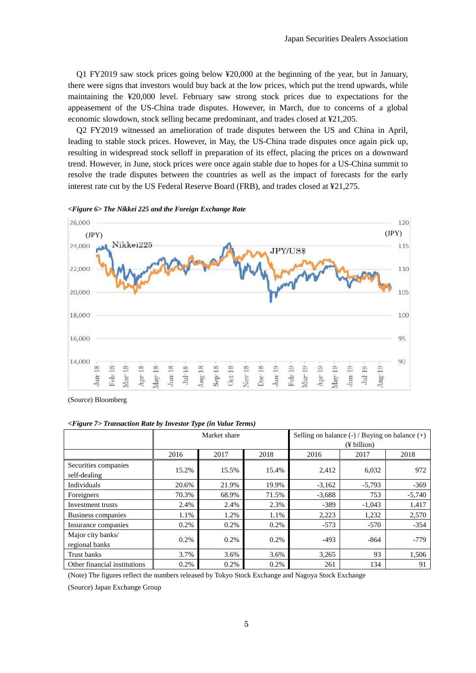Q1 FY2019 saw stock prices going below ¥20,000 at the beginning of the year, but in January, there were signs that investors would buy back at the low prices, which put the trend upwards, while maintaining the ¥20,000 level. February saw strong stock prices due to expectations for the appeasement of the US-China trade disputes. However, in March, due to concerns of a global economic slowdown, stock selling became predominant, and trades closed at ¥21,205.

Q2 FY2019 witnessed an amelioration of trade disputes between the US and China in April, leading to stable stock prices. However, in May, the US-China trade disputes once again pick up, resulting in widespread stock selloff in preparation of its effect, placing the prices on a downward trend. However, in June, stock prices were once again stable due to hopes for a US-China summit to resolve the trade disputes between the countries as well as the impact of forecasts for the early interest rate cut by the US Federal Reserve Board (FRB), and trades closed at ¥21,275.



*<Figure 6> The Nikkei 225 and the Foreign Exchange Rate*

(Source) Bloomberg

*<Figure 7> Transaction Rate by Investor Type (in Value Terms)* 

|                                      | Market share |       |       | Selling on balance $(-)$ / Buying on balance $(+)$ |             |          |  |  |
|--------------------------------------|--------------|-------|-------|----------------------------------------------------|-------------|----------|--|--|
|                                      |              |       |       |                                                    | (¥ billion) |          |  |  |
|                                      | 2016         | 2017  | 2018  | 2016                                               | 2017        | 2018     |  |  |
| Securities companies<br>self-dealing | 15.2%        | 15.5% | 15.4% | 2,412                                              | 6,032       | 972      |  |  |
| Individuals                          | 20.6%        | 21.9% | 19.9% | $-3,162$                                           | $-5,793$    | $-369$   |  |  |
| Foreigners                           | 70.3%        | 68.9% | 71.5% | $-3,688$                                           | 753         | $-5,740$ |  |  |
| Investment trusts                    | 2.4%         | 2.4%  | 2.3%  | $-389$                                             | $-1.043$    | 1.417    |  |  |
| Business companies                   | 1.1%         | 1.2%  | 1.1%  | 2,223                                              | 1,232       | 2,570    |  |  |
| Insurance companies                  | 0.2%         | 0.2%  | 0.2%  | $-573$                                             | $-570$      | $-354$   |  |  |
| Major city banks/<br>regional banks  | 0.2%         | 0.2%  | 0.2%  | $-493$                                             | $-864$      | $-779$   |  |  |
| Trust banks                          | 3.7%         | 3.6%  | 3.6%  | 3,265                                              | 93          | 1,506    |  |  |
| Other financial institutions         | 0.2%         | 0.2%  | 0.2%  | 261                                                | 134         | 91       |  |  |

(Note) The figures reflect the numbers released by Tokyo Stock Exchange and Nagoya Stock Exchange

(Source) Japan Exchange Group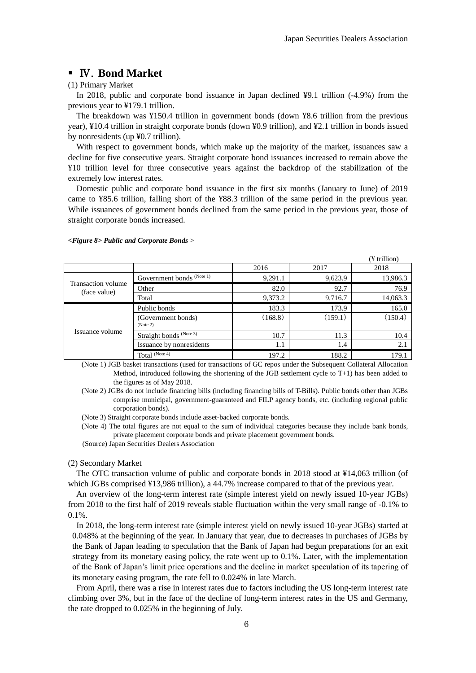# Ⅳ.**Bond Market**

### (1) Primary Market

In 2018, public and corporate bond issuance in Japan declined ¥9.1 trillion (-4.9%) from the previous year to ¥179.1 trillion.

The breakdown was ¥150.4 trillion in government bonds (down ¥8.6 trillion from the previous year), ¥10.4 trillion in straight corporate bonds (down ¥0.9 trillion), and ¥2.1 trillion in bonds issued by nonresidents (up ¥0.7 trillion).

With respect to government bonds, which make up the majority of the market, issuances saw a decline for five consecutive years. Straight corporate bond issuances increased to remain above the ¥10 trillion level for three consecutive years against the backdrop of the stabilization of the extremely low interest rates.

Domestic public and corporate bond issuance in the first six months (January to June) of 2019 came to ¥85.6 trillion, falling short of the ¥88.3 trillion of the same period in the previous year. While issuances of government bonds declined from the same period in the previous year, those of straight corporate bonds increased.

#### *<Figure 8> Public and Corporate Bonds* >

|                                    |                                      |         |         | (¥ trillion) |
|------------------------------------|--------------------------------------|---------|---------|--------------|
|                                    |                                      | 2016    | 2017    | 2018         |
|                                    | Government bonds <sup>(Note 1)</sup> | 9,291.1 | 9,623.9 | 13,986.3     |
| Transaction volume<br>(face value) | Other                                | 82.0    | 92.7    | 76.9         |
|                                    | Total                                | 9,373.2 | 9,716.7 | 14,063.3     |
| Issuance volume                    | Public bonds                         | 183.3   | 173.9   | 165.0        |
|                                    | (Government bonds)<br>(Note 2)       | (168.8) | (159.1) | (150.4)      |
|                                    | Straight bonds (Note 3)              | 10.7    | 11.3    | 10.4         |
|                                    | Issuance by nonresidents             | 1.1     | 1.4     | 2.1          |
|                                    | Total (Note 4)                       | 197.2   | 188.2   | 179.1        |

(Note 1) JGB basket transactions (used for transactions of GC repos under the Subsequent Collateral Allocation Method, introduced following the shortening of the JGB settlement cycle to T+1) has been added to the figures as of May 2018.

(Note 2) JGBs do not include financing bills (including financing bills of T-Bills). Public bonds other than JGBs comprise municipal, government-guaranteed and FILP agency bonds, etc. (including regional public corporation bonds).

(Note 3) Straight corporate bonds include asset-backed corporate bonds.

(Note 4) The total figures are not equal to the sum of individual categories because they include bank bonds, private placement corporate bonds and private placement government bonds.

(Source) Japan Securities Dealers Association

#### (2) Secondary Market

The OTC transaction volume of public and corporate bonds in 2018 stood at ¥14,063 trillion (of which JGBs comprised ¥13,986 trillion), a 44.7% increase compared to that of the previous year.

An overview of the long-term interest rate (simple interest yield on newly issued 10-year JGBs) from 2018 to the first half of 2019 reveals stable fluctuation within the very small range of -0.1% to 0.1%.

In 2018, the long-term interest rate (simple interest yield on newly issued 10-year JGBs) started at 0.048% at the beginning of the year. In January that year, due to decreases in purchases of JGBs by the Bank of Japan leading to speculation that the Bank of Japan had begun preparations for an exit strategy from its monetary easing policy, the rate went up to 0.1%. Later, with the implementation of the Bank of Japan's limit price operations and the decline in market speculation of its tapering of its monetary easing program, the rate fell to 0.024% in late March.

From April, there was a rise in interest rates due to factors including the US long-term interest rate climbing over 3%, but in the face of the decline of long-term interest rates in the US and Germany, the rate dropped to 0.025% in the beginning of July.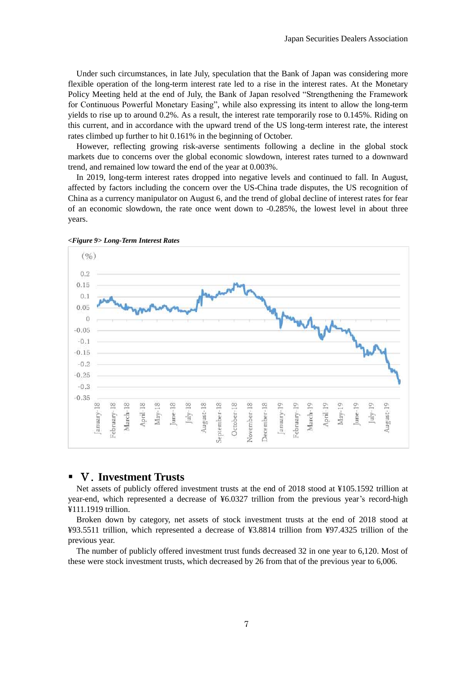Under such circumstances, in late July, speculation that the Bank of Japan was considering more flexible operation of the long-term interest rate led to a rise in the interest rates. At the Monetary Policy Meeting held at the end of July, the Bank of Japan resolved "Strengthening the Framework for Continuous Powerful Monetary Easing", while also expressing its intent to allow the long-term yields to rise up to around 0.2%. As a result, the interest rate temporarily rose to 0.145%. Riding on this current, and in accordance with the upward trend of the US long-term interest rate, the interest rates climbed up further to hit 0.161% in the beginning of October.

However, reflecting growing risk-averse sentiments following a decline in the global stock markets due to concerns over the global economic slowdown, interest rates turned to a downward trend, and remained low toward the end of the year at 0.003%.

In 2019, long-term interest rates dropped into negative levels and continued to fall. In August, affected by factors including the concern over the US-China trade disputes, the US recognition of China as a currency manipulator on August 6, and the trend of global decline of interest rates for fear of an economic slowdown, the rate once went down to -0.285%, the lowest level in about three years.



*<Figure 9> Long-Term Interest Rates*

# Ⅴ.**Investment Trusts**

Net assets of publicly offered investment trusts at the end of 2018 stood at ¥105.1592 trillion at year-end, which represented a decrease of ¥6.0327 trillion from the previous year's record-high ¥111.1919 trillion.

Broken down by category, net assets of stock investment trusts at the end of 2018 stood at ¥93.5511 trillion, which represented a decrease of ¥3.8814 trillion from ¥97.4325 trillion of the previous year.

The number of publicly offered investment trust funds decreased 32 in one year to 6,120. Most of these were stock investment trusts, which decreased by 26 from that of the previous year to 6,006.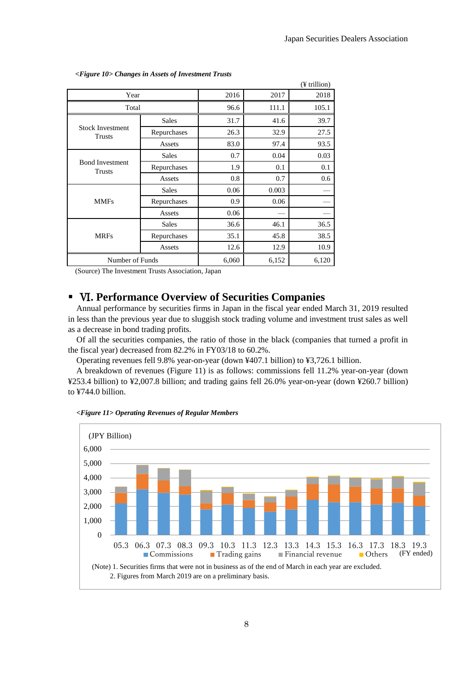|                                         |              |       |       | $(F$ trillion)   |
|-----------------------------------------|--------------|-------|-------|------------------|
| Year                                    |              | 2016  | 2017  | 2018             |
| Total                                   | 96.6         | 111.1 | 105.1 |                  |
|                                         | <b>Sales</b> | 31.7  | 41.6  | 39.7             |
| <b>Stock Investment</b><br>Trusts       | Repurchases  | 26.3  | 32.9  | 27.5             |
|                                         | Assets       | 83.0  | 97.4  | 93.5             |
| <b>Bond Investment</b><br><b>Trusts</b> | <b>Sales</b> | 0.7   | 0.04  | 0.03             |
|                                         | Repurchases  | 1.9   | 0.1   | 0.1              |
|                                         | Assets       | 0.8   | 0.7   | 0.6 <sub>1</sub> |
|                                         | <b>Sales</b> | 0.06  | 0.003 |                  |
| <b>MMFs</b>                             | Repurchases  | 0.9   | 0.06  |                  |
|                                         | Assets       | 0.06  |       |                  |
|                                         | <b>Sales</b> | 36.6  | 46.1  | 36.5             |
| <b>MRFs</b>                             | Repurchases  | 35.1  | 45.8  | 38.5             |
|                                         | Assets       | 12.6  | 12.9  | 10.9             |
| Number of Funds                         |              | 6,060 | 6,152 | 6,120            |

*<Figure 10> Changes in Assets of Investment Trusts*

(Source) The Investment Trusts Association, Japan

# Ⅵ**. Performance Overview of Securities Companies**

Annual performance by securities firms in Japan in the fiscal year ended March 31, 2019 resulted in less than the previous year due to sluggish stock trading volume and investment trust sales as well as a decrease in bond trading profits.

Of all the securities companies, the ratio of those in the black (companies that turned a profit in the fiscal year) decreased from 82.2% in FY03/18 to 60.2%.

Operating revenues fell 9.8% year-on-year (down ¥407.1 billion) to ¥3,726.1 billion.

A breakdown of revenues (Figure 11) is as follows: commissions fell 11.2% year-on-year (down ¥253.4 billion) to ¥2,007.8 billion; and trading gains fell 26.0% year-on-year (down ¥260.7 billion) to ¥744.0 billion.



*<Figure 11> Operating Revenues of Regular Members*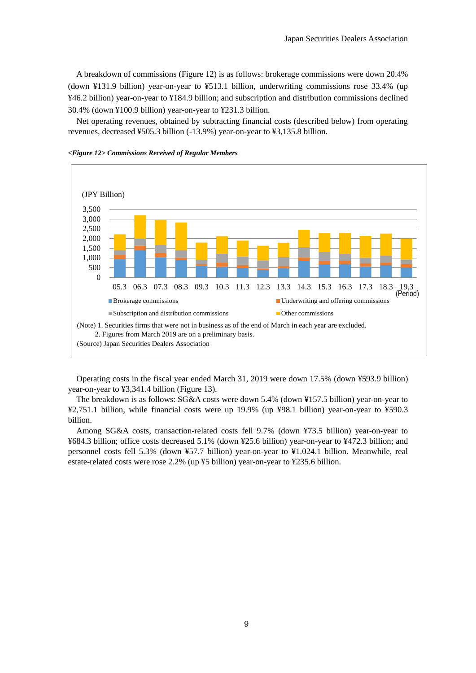A breakdown of commissions (Figure 12) is as follows: brokerage commissions were down 20.4% (down ¥131.9 billion) year-on-year to ¥513.1 billion, underwriting commissions rose 33.4% (up ¥46.2 billion) year-on-year to ¥184.9 billion; and subscription and distribution commissions declined 30.4% (down ¥100.9 billion) year-on-year to ¥231.3 billion.

Net operating revenues, obtained by subtracting financial costs (described below) from operating revenues, decreased ¥505.3 billion (-13.9%) year-on-year to ¥3,135.8 billion.





Operating costs in the fiscal year ended March 31, 2019 were down 17.5% (down ¥593.9 billion) year-on-year to ¥3,341.4 billion (Figure 13).

The breakdown is as follows: SG&A costs were down 5.4% (down ¥157.5 billion) year-on-year to ¥2,751.1 billion, while financial costs were up 19.9% (up ¥98.1 billion) year-on-year to ¥590.3 billion.

Among SG&A costs, transaction-related costs fell 9.7% (down ¥73.5 billion) year-on-year to ¥684.3 billion; office costs decreased 5.1% (down ¥25.6 billion) year-on-year to ¥472.3 billion; and personnel costs fell 5.3% (down ¥57.7 billion) year-on-year to ¥1.024.1 billion. Meanwhile, real estate-related costs were rose 2.2% (up ¥5 billion) year-on-year to ¥235.6 billion.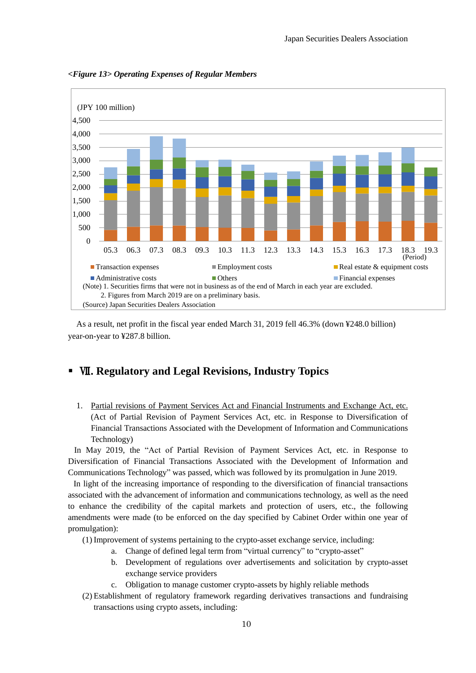

*<Figure 13> Operating Expenses of Regular Members*

As a result, net profit in the fiscal year ended March 31, 2019 fell 46.3% (down ¥248.0 billion) year-on-year to ¥287.8 billion.

# Ⅶ**. Regulatory and Legal Revisions, Industry Topics**

1. Partial revisions of Payment Services Act and Financial Instruments and Exchange Act, etc. (Act of Partial Revision of Payment Services Act, etc. in Response to Diversification of Financial Transactions Associated with the Development of Information and Communications Technology)

In May 2019, the "Act of Partial Revision of Payment Services Act, etc. in Response to Diversification of Financial Transactions Associated with the Development of Information and Communications Technology" was passed, which was followed by its promulgation in June 2019.

In light of the increasing importance of responding to the diversification of financial transactions associated with the advancement of information and communications technology, as well as the need to enhance the credibility of the capital markets and protection of users, etc., the following amendments were made (to be enforced on the day specified by Cabinet Order within one year of promulgation):

(1) Improvement of systems pertaining to the crypto-asset exchange service, including:

- a. Change of defined legal term from "virtual currency" to "crypto-asset"
- b. Development of regulations over advertisements and solicitation by crypto-asset exchange service providers
- c. Obligation to manage customer crypto-assets by highly reliable methods
- (2) Establishment of regulatory framework regarding derivatives transactions and fundraising transactions using crypto assets, including: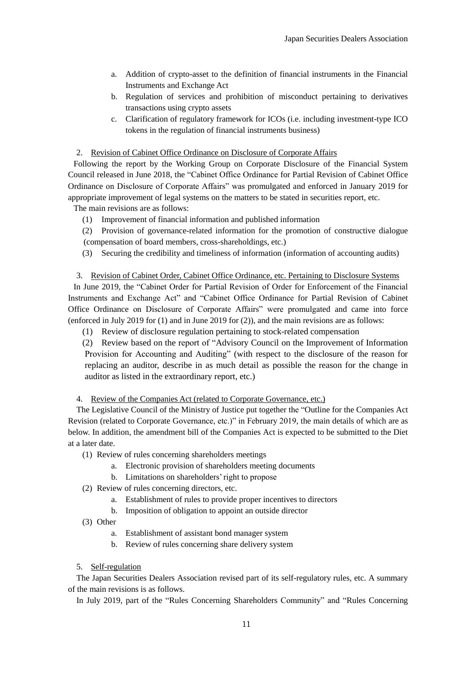- a. Addition of crypto-asset to the definition of financial instruments in the Financial Instruments and Exchange Act
- b. Regulation of services and prohibition of misconduct pertaining to derivatives transactions using crypto assets
- c. Clarification of regulatory framework for ICOs (i.e. including investment-type ICO tokens in the regulation of financial instruments business)

2. Revision of Cabinet Office Ordinance on Disclosure of Corporate Affairs

Following the report by the Working Group on Corporate Disclosure of the Financial System Council released in June 2018, the "Cabinet Office Ordinance for Partial Revision of Cabinet Office Ordinance on Disclosure of Corporate Affairs" was promulgated and enforced in January 2019 for appropriate improvement of legal systems on the matters to be stated in securities report, etc.

The main revisions are as follows:

- (1) Improvement of financial information and published information
- (2) Provision of governance-related information for the promotion of constructive dialogue (compensation of board members, cross-shareholdings, etc.)
- (3) Securing the credibility and timeliness of information (information of accounting audits)

3. Revision of Cabinet Order, Cabinet Office Ordinance, etc. Pertaining to Disclosure Systems In June 2019, the "Cabinet Order for Partial Revision of Order for Enforcement of the Financial Instruments and Exchange Act" and "Cabinet Office Ordinance for Partial Revision of Cabinet Office Ordinance on Disclosure of Corporate Affairs" were promulgated and came into force (enforced in July 2019 for (1) and in June 2019 for (2)), and the main revisions are as follows:

(1) Review of disclosure regulation pertaining to stock-related compensation

(2) Review based on the report of "Advisory Council on the Improvement of Information Provision for Accounting and Auditing" (with respect to the disclosure of the reason for replacing an auditor, describe in as much detail as possible the reason for the change in auditor as listed in the extraordinary report, etc.)

4. Review of the Companies Act (related to Corporate Governance, etc.)

The Legislative Council of the Ministry of Justice put together the "Outline for the Companies Act Revision (related to Corporate Governance, etc.)" in February 2019, the main details of which are as below. In addition, the amendment bill of the Companies Act is expected to be submitted to the Diet at a later date.

(1) Review of rules concerning shareholders meetings

- a. Electronic provision of shareholders meeting documents
- b. Limitations on shareholders' right to propose
- (2) Review of rules concerning directors, etc.
	- a. Establishment of rules to provide proper incentives to directors
	- b. Imposition of obligation to appoint an outside director
- (3) Other
	- a. Establishment of assistant bond manager system
	- b. Review of rules concerning share delivery system
- 5. Self-regulation

The Japan Securities Dealers Association revised part of its self-regulatory rules, etc. A summary of the main revisions is as follows.

In July 2019, part of the "Rules Concerning Shareholders Community" and "Rules Concerning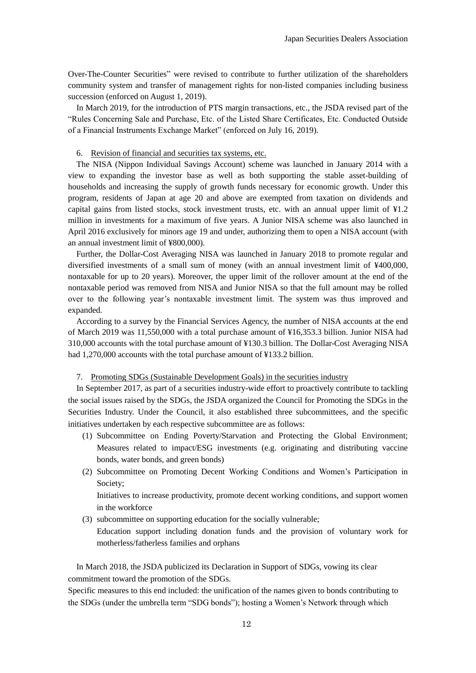Over-The-Counter Securities" were revised to contribute to further utilization of the shareholders community system and transfer of management rights for non-listed companies including business succession (enforced on August 1, 2019).

In March 2019, for the introduction of PTS margin transactions, etc., the JSDA revised part of the "Rules Concerning Sale and Purchase, Etc. of the Listed Share Certificates, Etc. Conducted Outside of a Financial Instruments Exchange Market" (enforced on July 16, 2019).

# 6. Revision of financial and securities tax systems, etc.

The NISA (Nippon Individual Savings Account) scheme was launched in January 2014 with a view to expanding the investor base as well as both supporting the stable asset-building of households and increasing the supply of growth funds necessary for economic growth. Under this program, residents of Japan at age 20 and above are exempted from taxation on dividends and capital gains from listed stocks, stock investment trusts, etc. with an annual upper limit of ¥1.2 million in investments for a maximum of five years. A Junior NISA scheme was also launched in April 2016 exclusively for minors age 19 and under, authorizing them to open a NISA account (with an annual investment limit of ¥800,000).

Further, the Dollar-Cost Averaging NISA was launched in January 2018 to promote regular and diversified investments of a small sum of money (with an annual investment limit of ¥400,000, nontaxable for up to 20 years). Moreover, the upper limit of the rollover amount at the end of the nontaxable period was removed from NISA and Junior NISA so that the full amount may be rolled over to the following year's nontaxable investment limit. The system was thus improved and expanded.

According to a survey by the Financial Services Agency, the number of NISA accounts at the end of March 2019 was 11,550,000 with a total purchase amount of ¥16,353.3 billion. Junior NISA had 310,000 accounts with the total purchase amount of ¥130.3 billion. The Dollar-Cost Averaging NISA had 1,270,000 accounts with the total purchase amount of ¥133.2 billion.

### 7. Promoting SDGs (Sustainable Development Goals) in the securities industry

 In September 2017, as part of a securities industry-wide effort to proactively contribute to tackling the social issues raised by the SDGs, the JSDA organized the Council for Promoting the SDGs in the Securities Industry. Under the Council, it also established three subcommittees, and the specific initiatives undertaken by each respective subcommittee are as follows:

- (1) Subcommittee on Ending Poverty/Starvation and Protecting the Global Environment; Measures related to impact/ESG investments (e.g. originating and distributing vaccine bonds, water bonds, and green bonds)
- (2) Subcommittee on Promoting Decent Working Conditions and Women's Participation in Society;

Initiatives to increase productivity, promote decent working conditions, and support women in the workforce

(3) subcommittee on supporting education for the socially vulnerable;

Education support including donation funds and the provision of voluntary work for motherless/fatherless families and orphans

 In March 2018, the JSDA publicized its Declaration in Support of SDGs, vowing its clear commitment toward the promotion of the SDGs.

Specific measures to this end included: the unification of the names given to bonds contributing to the SDGs (under the umbrella term "SDG bonds"); hosting a Women's Network through which